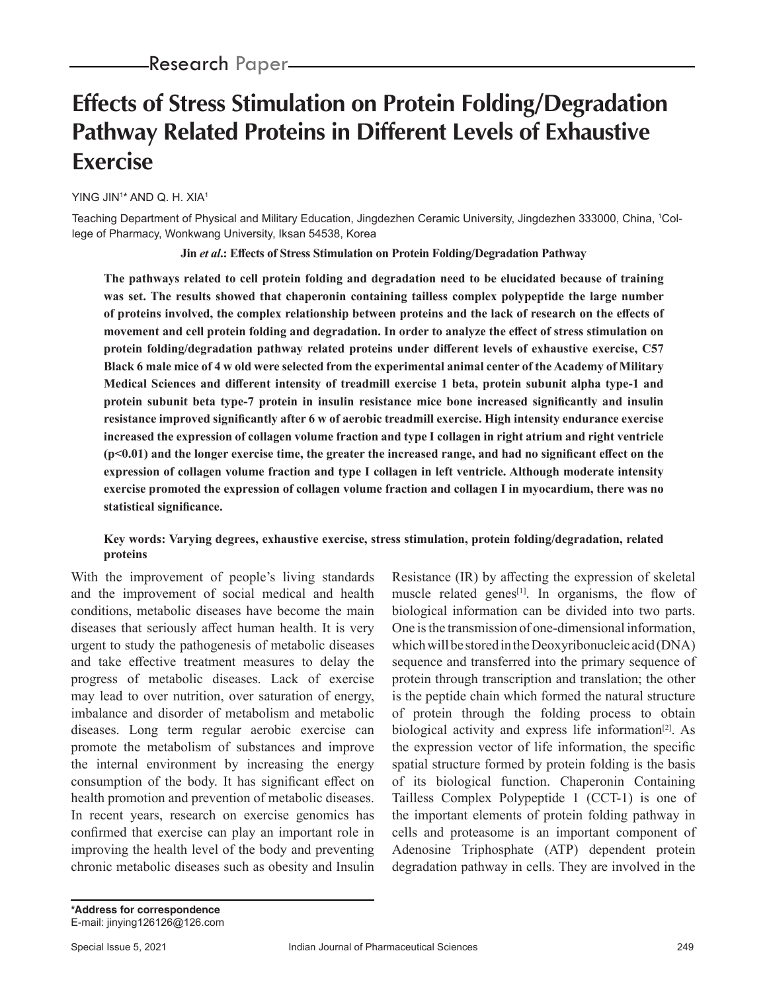# **Effects of Stress Stimulation on Protein Folding/Degradation Pathway Related Proteins in Different Levels of Exhaustive Exercise**

YING JIN1 \* AND Q. H. XIA1

Teaching Department of Physical and Military Education, Jingdezhen Ceramic University, Jingdezhen 333000, China, 1 College of Pharmacy, Wonkwang University, Iksan 54538, Korea

**Jin** *et al***.: Effects of Stress Stimulation on Protein Folding/Degradation Pathway**

**The pathways related to cell protein folding and degradation need to be elucidated because of training was set. The results showed that chaperonin containing tailless complex polypeptide the large number of proteins involved, the complex relationship between proteins and the lack of research on the effects of movement and cell protein folding and degradation. In order to analyze the effect of stress stimulation on protein folding/degradation pathway related proteins under different levels of exhaustive exercise, C57 Black 6 male mice of 4 w old were selected from the experimental animal center of the Academy of Military Medical Sciences and different intensity of treadmill exercise 1 beta, protein subunit alpha type-1 and protein subunit beta type-7 protein in insulin resistance mice bone increased significantly and insulin resistance improved significantly after 6 w of aerobic treadmill exercise. High intensity endurance exercise increased the expression of collagen volume fraction and type I collagen in right atrium and right ventricle (p<0.01) and the longer exercise time, the greater the increased range, and had no significant effect on the expression of collagen volume fraction and type I collagen in left ventricle. Although moderate intensity exercise promoted the expression of collagen volume fraction and collagen I in myocardium, there was no statistical significance.**

#### **Key words: Varying degrees, exhaustive exercise, stress stimulation, protein folding/degradation, related proteins**

With the improvement of people's living standards and the improvement of social medical and health conditions, metabolic diseases have become the main diseases that seriously affect human health. It is very urgent to study the pathogenesis of metabolic diseases and take effective treatment measures to delay the progress of metabolic diseases. Lack of exercise may lead to over nutrition, over saturation of energy, imbalance and disorder of metabolism and metabolic diseases. Long term regular aerobic exercise can promote the metabolism of substances and improve the internal environment by increasing the energy consumption of the body. It has significant effect on health promotion and prevention of metabolic diseases. In recent years, research on exercise genomics has confirmed that exercise can play an important role in improving the health level of the body and preventing chronic metabolic diseases such as obesity and Insulin Resistance (IR) by affecting the expression of skeletal muscle related genes<sup>[1]</sup>. In organisms, the flow of biological information can be divided into two parts. One is the transmission of one-dimensional information, which will be stored in the Deoxyribonucleic acid (DNA) sequence and transferred into the primary sequence of protein through transcription and translation; the other is the peptide chain which formed the natural structure of protein through the folding process to obtain biological activity and express life information<sup>[2]</sup>. As the expression vector of life information, the specific spatial structure formed by protein folding is the basis of its biological function. Chaperonin Containing Tailless Complex Polypeptide 1 (CCT-1) is one of the important elements of protein folding pathway in cells and proteasome is an important component of Adenosine Triphosphate (ATP) dependent protein degradation pathway in cells. They are involved in the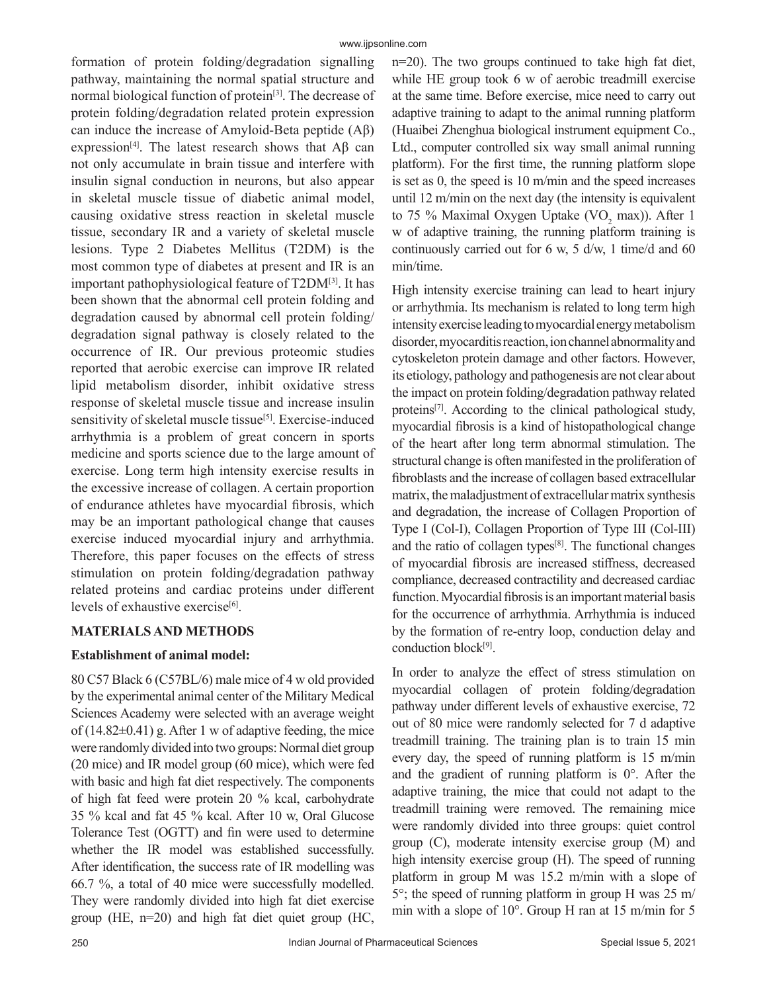formation of protein folding/degradation signalling pathway, maintaining the normal spatial structure and normal biological function of protein[3]. The decrease of protein folding/degradation related protein expression can induce the increase of Amyloid-Beta peptide (Aβ) expression<sup>[4]</sup>. The latest research shows that  $\mathbf{A}\mathbf{\beta}$  can not only accumulate in brain tissue and interfere with insulin signal conduction in neurons, but also appear in skeletal muscle tissue of diabetic animal model, causing oxidative stress reaction in skeletal muscle tissue, secondary IR and a variety of skeletal muscle lesions. Type 2 Diabetes Mellitus (T2DM) is the most common type of diabetes at present and IR is an important pathophysiological feature of T2DM[3]. It has been shown that the abnormal cell protein folding and degradation caused by abnormal cell protein folding/ degradation signal pathway is closely related to the occurrence of IR. Our previous proteomic studies reported that aerobic exercise can improve IR related lipid metabolism disorder, inhibit oxidative stress response of skeletal muscle tissue and increase insulin sensitivity of skeletal muscle tissue<sup>[5]</sup>. Exercise-induced arrhythmia is a problem of great concern in sports medicine and sports science due to the large amount of exercise. Long term high intensity exercise results in the excessive increase of collagen. A certain proportion of endurance athletes have myocardial fibrosis, which may be an important pathological change that causes exercise induced myocardial injury and arrhythmia. Therefore, this paper focuses on the effects of stress stimulation on protein folding/degradation pathway related proteins and cardiac proteins under different levels of exhaustive exercise<sup>[6]</sup>.

## **MATERIALS AND METHODS**

## **Establishment of animal model:**

80 C57 Black 6 (C57BL/6) male mice of 4 w old provided by the experimental animal center of the Military Medical Sciences Academy were selected with an average weight of  $(14.82\pm0.41)$  g. After 1 w of adaptive feeding, the mice were randomly divided into two groups: Normal diet group (20 mice) and IR model group (60 mice), which were fed with basic and high fat diet respectively. The components of high fat feed were protein 20 % kcal, carbohydrate 35 % kcal and fat 45 % kcal. After 10 w, Oral Glucose Tolerance Test (OGTT) and fin were used to determine whether the IR model was established successfully. After identification, the success rate of IR modelling was 66.7 %, a total of 40 mice were successfully modelled. They were randomly divided into high fat diet exercise group (HE, n=20) and high fat diet quiet group (HC,

n=20). The two groups continued to take high fat diet, while HE group took 6 w of aerobic treadmill exercise at the same time. Before exercise, mice need to carry out adaptive training to adapt to the animal running platform (Huaibei Zhenghua biological instrument equipment Co., Ltd., computer controlled six way small animal running platform). For the first time, the running platform slope is set as 0, the speed is 10 m/min and the speed increases until 12 m/min on the next day (the intensity is equivalent to 75 % Maximal Oxygen Uptake  $(\text{VO}_2 \text{ max})$ ). After 1 w of adaptive training, the running platform training is continuously carried out for 6 w, 5 d/w, 1 time/d and 60 min/time.

High intensity exercise training can lead to heart injury or arrhythmia. Its mechanism is related to long term high intensity exercise leading to myocardial energy metabolism disorder, myocarditis reaction, ion channel abnormality and cytoskeleton protein damage and other factors. However, its etiology, pathology and pathogenesis are not clear about the impact on protein folding/degradation pathway related proteins<sup>[7]</sup>. According to the clinical pathological study, myocardial fibrosis is a kind of histopathological change of the heart after long term abnormal stimulation. The structural change is often manifested in the proliferation of fibroblasts and the increase of collagen based extracellular matrix, the maladjustment of extracellular matrix synthesis and degradation, the increase of Collagen Proportion of Type I (Col-I), Collagen Proportion of Type III (Col-III) and the ratio of collagen types[8]. The functional changes of myocardial fibrosis are increased stiffness, decreased compliance, decreased contractility and decreased cardiac function. Myocardial fibrosis is an important material basis for the occurrence of arrhythmia. Arrhythmia is induced by the formation of re-entry loop, conduction delay and conduction block<sup>[9]</sup>.

In order to analyze the effect of stress stimulation on myocardial collagen of protein folding/degradation pathway under different levels of exhaustive exercise, 72 out of 80 mice were randomly selected for 7 d adaptive treadmill training. The training plan is to train 15 min every day, the speed of running platform is 15 m/min and the gradient of running platform is  $0^\circ$ . After the adaptive training, the mice that could not adapt to the treadmill training were removed. The remaining mice were randomly divided into three groups: quiet control group (C), moderate intensity exercise group (M) and high intensity exercise group (H). The speed of running platform in group M was 15.2 m/min with a slope of 5°; the speed of running platform in group H was 25 m/ min with a slope of 10°. Group H ran at 15 m/min for 5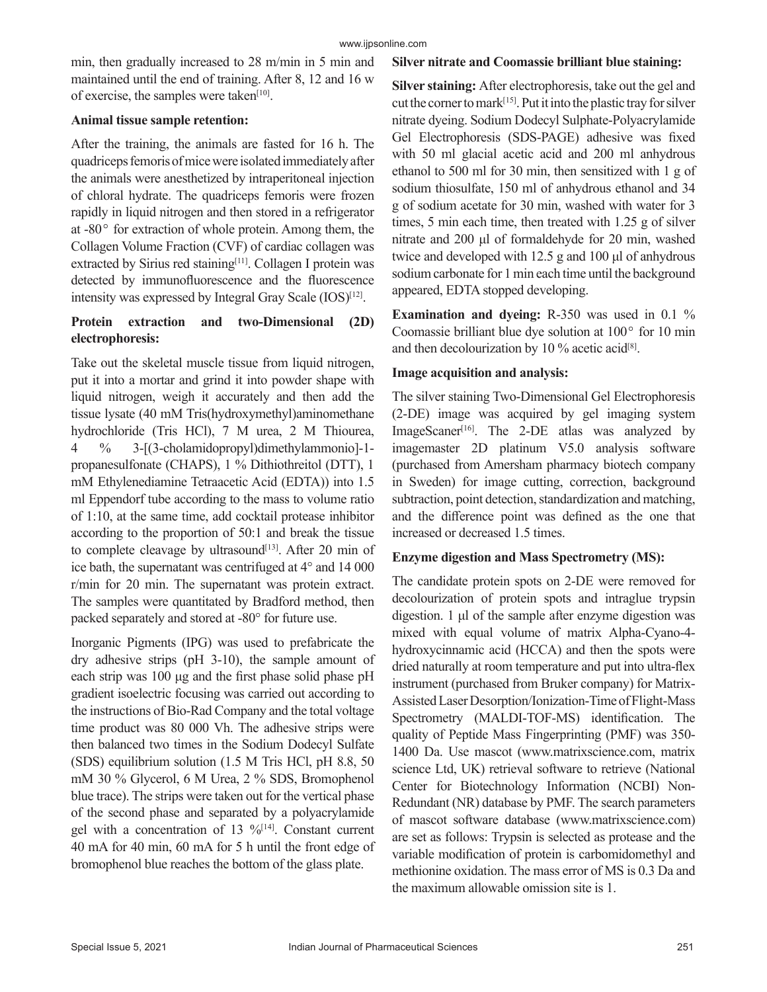min, then gradually increased to 28 m/min in 5 min and maintained until the end of training. After 8, 12 and 16 w of exercise, the samples were taken $[10]$ .

# **Animal tissue sample retention:**

After the training, the animals are fasted for 16 h. The quadriceps femoris of mice were isolated immediately after the animals were anesthetized by intraperitoneal injection of chloral hydrate. The quadriceps femoris were frozen rapidly in liquid nitrogen and then stored in a refrigerator at  $-80^\circ$  for extraction of whole protein. Among them, the Collagen Volume Fraction (CVF) of cardiac collagen was extracted by Sirius red staining<sup>[11]</sup>. Collagen I protein was detected by immunofluorescence and the fluorescence intensity was expressed by Integral Gray Scale  $(IOS)^{[12]}$ .

# **Protein extraction and two-Dimensional (2D) electrophoresis:**

Take out the skeletal muscle tissue from liquid nitrogen, put it into a mortar and grind it into powder shape with liquid nitrogen, weigh it accurately and then add the tissue lysate (40 mM Tris(hydroxymethyl)aminomethane hydrochloride (Tris HCl), 7 M urea, 2 M Thiourea, 4 % 3-[(3-cholamidopropyl)dimethylammonio]-1 propanesulfonate (CHAPS), 1 % Dithiothreitol (DTT), 1 mM Ethylenediamine Tetraacetic Acid (EDTA)) into 1.5 ml Eppendorf tube according to the mass to volume ratio of 1:10, at the same time, add cocktail protease inhibitor according to the proportion of 50:1 and break the tissue to complete cleavage by ultrasound $[13]$ . After 20 min of ice bath, the supernatant was centrifuged at 4° and 14 000 r/min for 20 min. The supernatant was protein extract. The samples were quantitated by Bradford method, then packed separately and stored at -80° for future use.

Inorganic Pigments (IPG) was used to prefabricate the dry adhesive strips (pH 3-10), the sample amount of each strip was 100 μg and the first phase solid phase pH gradient isoelectric focusing was carried out according to the instructions of Bio-Rad Company and the total voltage time product was 80 000 Vh. The adhesive strips were then balanced two times in the Sodium Dodecyl Sulfate (SDS) equilibrium solution (1.5 M Tris HCl, pH 8.8, 50 mM 30 % Glycerol, 6 M Urea, 2 % SDS, Bromophenol blue trace). The strips were taken out for the vertical phase of the second phase and separated by a polyacrylamide gel with a concentration of 13  $\frac{9}{14}$ . Constant current 40 mA for 40 min, 60 mA for 5 h until the front edge of bromophenol blue reaches the bottom of the glass plate.

# **Silver nitrate and Coomassie brilliant blue staining:**

**Silver staining:** After electrophoresis, take out the gel and cut the corner to mark[15]. Put it into the plastic tray for silver nitrate dyeing. Sodium Dodecyl Sulphate-Polyacrylamide Gel Electrophoresis (SDS-PAGE) adhesive was fixed with 50 ml glacial acetic acid and 200 ml anhydrous ethanol to 500 ml for 30 min, then sensitized with 1 g of sodium thiosulfate, 150 ml of anhydrous ethanol and 34 g of sodium acetate for 30 min, washed with water for 3 times, 5 min each time, then treated with 1.25 g of silver nitrate and 200 μl of formaldehyde for 20 min, washed twice and developed with 12.5 g and 100 μl of anhydrous sodium carbonate for 1 min each time until the background appeared, EDTA stopped developing.

**Examination and dyeing:** R-350 was used in 0.1 % Coomassie brilliant blue dye solution at  $100^{\circ}$  for  $10$  min and then decolourization by 10 % acetic acid<sup>[8]</sup>.

# **Image acquisition and analysis:**

The silver staining Two-Dimensional Gel Electrophoresis (2-DE) image was acquired by gel imaging system ImageScaner<sup>[16]</sup>. The 2-DE atlas was analyzed by imagemaster 2D platinum V5.0 analysis software (purchased from Amersham pharmacy biotech company in Sweden) for image cutting, correction, background subtraction, point detection, standardization and matching, and the difference point was defined as the one that increased or decreased 1.5 times.

# **Enzyme digestion and Mass Spectrometry (MS):**

The candidate protein spots on 2-DE were removed for decolourization of protein spots and intraglue trypsin digestion. 1 μl of the sample after enzyme digestion was mixed with equal volume of matrix Alpha-Cyano-4 hydroxycinnamic acid (HCCA) and then the spots were dried naturally at room temperature and put into ultra-flex instrument (purchased from Bruker company) for Matrix-Assisted Laser Desorption/Ionization-Time of Flight-Mass Spectrometry (MALDI-TOF-MS) identification. The quality of Peptide Mass Fingerprinting (PMF) was 350- 1400 Da. Use mascot (www.matrixscience.com, matrix science Ltd, UK) retrieval software to retrieve (National Center for Biotechnology Information (NCBI) Non-Redundant (NR) database by PMF. The search parameters of mascot software database (www.matrixscience.com) are set as follows: Trypsin is selected as protease and the variable modification of protein is carbomidomethyl and methionine oxidation. The mass error of MS is 0.3 Da and the maximum allowable omission site is 1.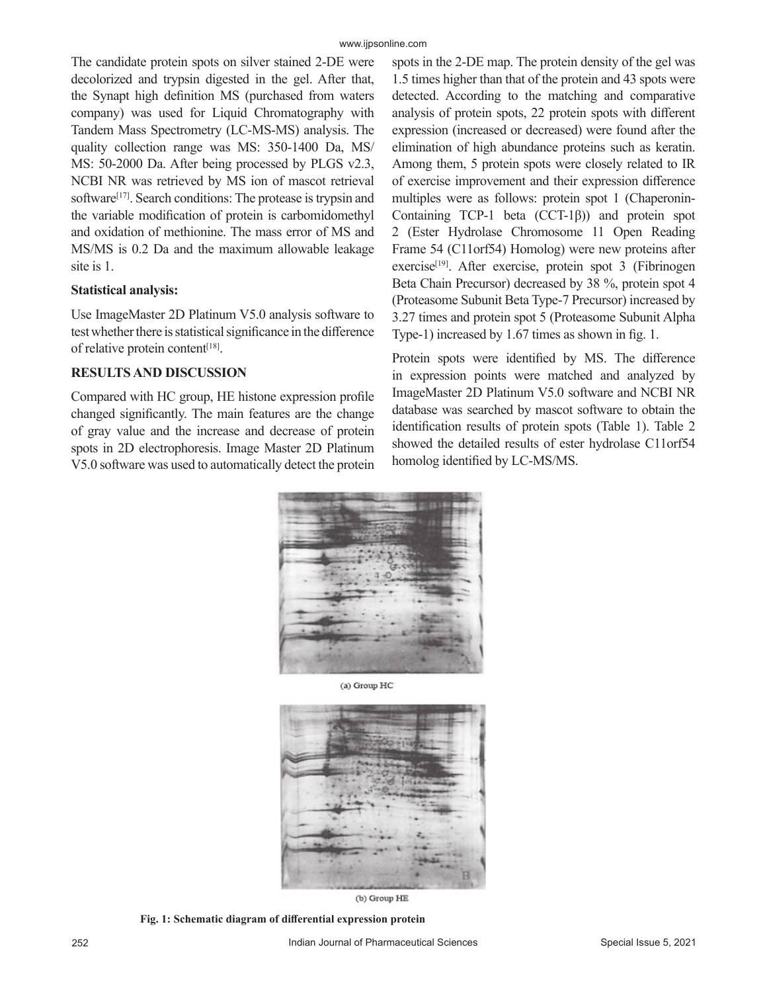The candidate protein spots on silver stained 2-DE were decolorized and trypsin digested in the gel. After that, the Synapt high definition MS (purchased from waters company) was used for Liquid Chromatography with Tandem Mass Spectrometry (LC-MS-MS) analysis. The quality collection range was MS: 350-1400 Da, MS/ MS: 50-2000 Da. After being processed by PLGS v2.3, NCBI NR was retrieved by MS ion of mascot retrieval software<sup>[17]</sup>. Search conditions: The protease is trypsin and the variable modification of protein is carbomidomethyl and oxidation of methionine. The mass error of MS and MS/MS is 0.2 Da and the maximum allowable leakage site is 1.

#### **Statistical analysis:**

Use ImageMaster 2D Platinum V5.0 analysis software to test whether there is statistical significance in the difference of relative protein content<sup>[18]</sup>.

## **RESULTS AND DISCUSSION**

Compared with HC group, HE histone expression profile changed significantly. The main features are the change of gray value and the increase and decrease of protein spots in 2D electrophoresis. Image Master 2D Platinum V5.0 software was used to automatically detect the protein spots in the 2-DE map. The protein density of the gel was 1.5 times higher than that of the protein and 43 spots were detected. According to the matching and comparative analysis of protein spots, 22 protein spots with different expression (increased or decreased) were found after the elimination of high abundance proteins such as keratin. Among them, 5 protein spots were closely related to IR of exercise improvement and their expression difference multiples were as follows: protein spot 1 (Chaperonin-Containing TCP-1 beta (CCT-1β)) and protein spot 2 (Ester Hydrolase Chromosome 11 Open Reading Frame 54 (C11orf54) Homolog) were new proteins after exercise<sup>[19]</sup>. After exercise, protein spot 3 (Fibrinogen Beta Chain Precursor) decreased by 38 %, protein spot 4 (Proteasome Subunit Beta Type-7 Precursor) increased by 3.27 times and protein spot 5 (Proteasome Subunit Alpha Type-1) increased by 1.67 times as shown in fig. 1.

Protein spots were identified by MS. The difference in expression points were matched and analyzed by ImageMaster 2D Platinum V5.0 software and NCBI NR database was searched by mascot software to obtain the identification results of protein spots (Table 1). Table 2 showed the detailed results of ester hydrolase C11orf54 homolog identified by LC-MS/MS.



(a) Group HC



(b) Group HE

**Fig. 1: Schematic diagram of differential expression protein**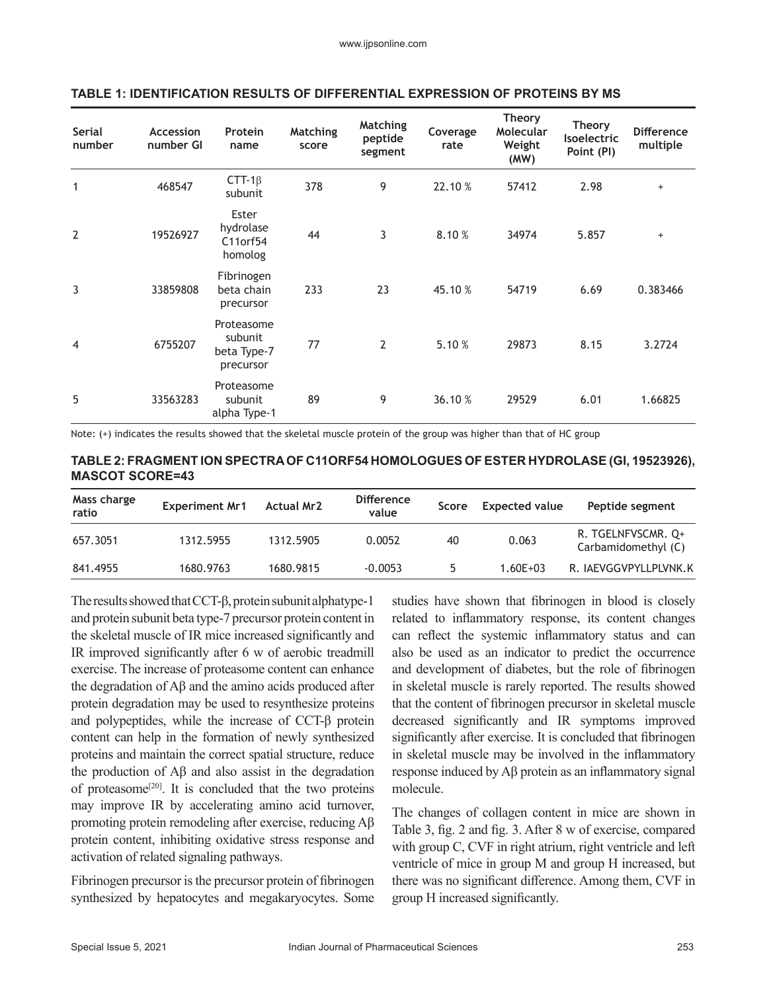| Serial<br>number | Accession<br>number GI | Protein<br>name                                   | <b>Matching</b><br>score | <b>Matching</b><br>peptide<br>segment | Coverage<br>rate | <b>Theory</b><br>Molecular<br>Weight<br>(MW) | <b>Theory</b><br><b>Isoelectric</b><br>Point (PI) | <b>Difference</b><br>multiple |
|------------------|------------------------|---------------------------------------------------|--------------------------|---------------------------------------|------------------|----------------------------------------------|---------------------------------------------------|-------------------------------|
| $\mathbf{1}$     | 468547                 | $CTT-1\beta$<br>subunit                           | 378                      | 9                                     | 22.10 %          | 57412                                        | 2.98                                              | $+$                           |
| $\overline{2}$   | 19526927               | Ester<br>hydrolase<br>C11orf54<br>homolog         | 44                       | 3                                     | 8.10%            | 34974                                        | 5.857                                             | $+$                           |
| 3                | 33859808               | Fibrinogen<br>beta chain<br>precursor             | 233                      | 23                                    | 45.10 %          | 54719                                        | 6.69                                              | 0.383466                      |
| 4                | 6755207                | Proteasome<br>subunit<br>beta Type-7<br>precursor | 77                       | 2                                     | 5.10 %           | 29873                                        | 8.15                                              | 3.2724                        |
| 5                | 33563283               | Proteasome<br>subunit<br>alpha Type-1             | 89                       | 9                                     | 36.10 %          | 29529                                        | 6.01                                              | 1.66825                       |

#### **TABLE 1: IDENTIFICATION RESULTS OF DIFFERENTIAL EXPRESSION OF PROTEINS BY MS**

Note: (+) indicates the results showed that the skeletal muscle protein of the group was higher than that of HC group

| TABLE 2: FRAGMENT ION SPECTRA OF C11ORF54 HOMOLOGUES OF ESTER HYDROLASE (GI, 19523926), |  |
|-----------------------------------------------------------------------------------------|--|
| <b>MASCOT SCORE=43</b>                                                                  |  |

| Mass charge<br>ratio | <b>Experiment Mr1</b> | <b>Actual Mr2</b> | <b>Difference</b><br>value | Score | <b>Expected value</b> | Peptide segment                           |
|----------------------|-----------------------|-------------------|----------------------------|-------|-----------------------|-------------------------------------------|
| 657.3051             | 1312.5955             | 1312.5905         | 0.0052                     | 40    | 0.063                 | R. TGELNFVSCMR. Q+<br>Carbamidomethyl (C) |
| 841.4955             | 1680.9763             | 1680.9815         | $-0.0053$                  | Б.    | $1.60E + 03$          | R. IAEVGGVPYLLPLVNK.K                     |

The results showed that CCT-β, protein subunit alphatype-1 and protein subunit beta type-7 precursor protein content in the skeletal muscle of IR mice increased significantly and IR improved significantly after 6 w of aerobic treadmill exercise. The increase of proteasome content can enhance the degradation of Aβ and the amino acids produced after protein degradation may be used to resynthesize proteins and polypeptides, while the increase of CCT-β protein content can help in the formation of newly synthesized proteins and maintain the correct spatial structure, reduce the production of Aβ and also assist in the degradation of proteasome<sup>[20]</sup>. It is concluded that the two proteins may improve IR by accelerating amino acid turnover, promoting protein remodeling after exercise, reducing Aβ protein content, inhibiting oxidative stress response and activation of related signaling pathways.

Fibrinogen precursor is the precursor protein of fibrinogen synthesized by hepatocytes and megakaryocytes. Some studies have shown that fibrinogen in blood is closely related to inflammatory response, its content changes can reflect the systemic inflammatory status and can also be used as an indicator to predict the occurrence and development of diabetes, but the role of fibrinogen in skeletal muscle is rarely reported. The results showed that the content of fibrinogen precursor in skeletal muscle decreased significantly and IR symptoms improved significantly after exercise. It is concluded that fibrinogen in skeletal muscle may be involved in the inflammatory response induced by Aβ protein as an inflammatory signal molecule.

The changes of collagen content in mice are shown in Table 3, fig. 2 and fig. 3. After 8 w of exercise, compared with group C, CVF in right atrium, right ventricle and left ventricle of mice in group M and group H increased, but there was no significant difference. Among them, CVF in group H increased significantly.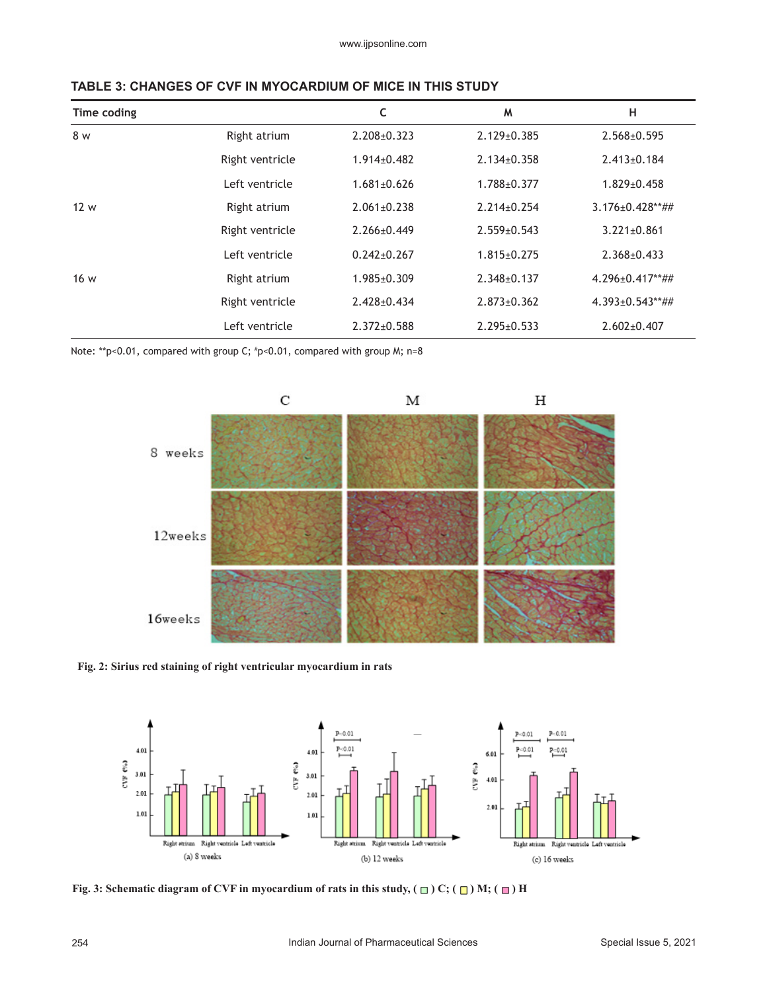| Time coding |                 | C                 | M                 | н                      |
|-------------|-----------------|-------------------|-------------------|------------------------|
| 8 w         | Right atrium    | $2.208 + 0.323$   | $2.129 \pm 0.385$ | $2.568 \pm 0.595$      |
|             | Right ventricle | $1.914 \pm 0.482$ | $2.134 \pm 0.358$ | $2.413 \pm 0.184$      |
|             | Left ventricle  | $1.681 \pm 0.626$ | 1.788±0.377       | $1.829 \pm 0.458$      |
| 12 w        | Right atrium    | $2.061 \pm 0.238$ | $2.214 \pm 0.254$ | $3.176 \pm 0.428$ **## |
|             | Right ventricle | $2.266 \pm 0.449$ | $2.559 \pm 0.543$ | $3.221 \pm 0.861$      |
|             | Left ventricle  | $0.242 \pm 0.267$ | $1.815 \pm 0.275$ | $2.368 \pm 0.433$      |
| 16 w        | Right atrium    | $1.985 \pm 0.309$ | $2.348 \pm 0.137$ | $4.296 \pm 0.417**$ ## |
|             | Right ventricle | $2.428 \pm 0.434$ | $2.873 \pm 0.362$ | 4.393±0.543**##        |
|             | Left ventricle  | $2.372 \pm 0.588$ | $2.295 \pm 0.533$ | $2.602 \pm 0.407$      |

#### **TABLE 3: CHANGES OF CVF IN MYOCARDIUM OF MICE IN THIS STUDY**

Note: \*\*p<0.01, compared with group C; # p<0.01, compared with group M; n=8



#### **Fig. 2: Sirius red staining of right ventricular myocardium in rats**



**Fig. 3: Schematic diagram of CVF in myocardium of rats in this study, (** $\Box$ **) C; (** $\Box$ **) M; (** $\Box$ **) H**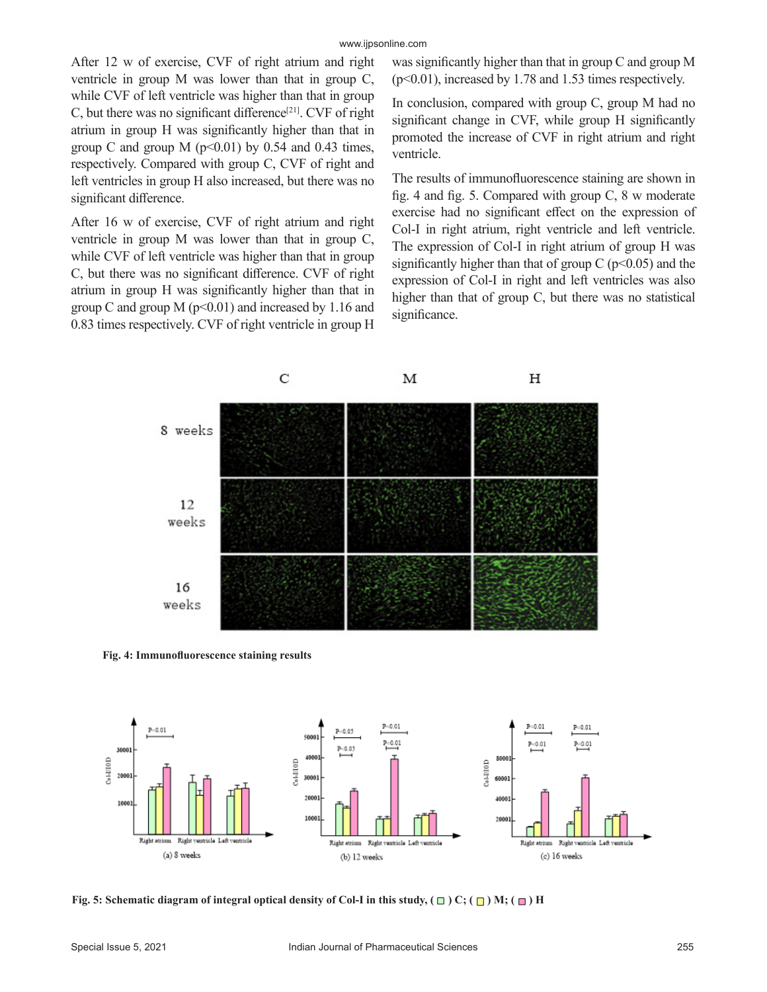After 12 w of exercise, CVF of right atrium and right ventricle in group M was lower than that in group C, while CVF of left ventricle was higher than that in group C, but there was no significant difference<sup>[21]</sup>. CVF of right atrium in group H was significantly higher than that in group C and group M  $(p<0.01)$  by 0.54 and 0.43 times, respectively. Compared with group C, CVF of right and left ventricles in group H also increased, but there was no significant difference.

After 16 w of exercise, CVF of right atrium and right ventricle in group M was lower than that in group C, while CVF of left ventricle was higher than that in group C, but there was no significant difference. CVF of right atrium in group H was significantly higher than that in group C and group M ( $p<0.01$ ) and increased by 1.16 and 0.83 times respectively. CVF of right ventricle in group H was significantly higher than that in group C and group M  $(p<0.01)$ , increased by 1.78 and 1.53 times respectively.

In conclusion, compared with group C, group M had no significant change in CVF, while group H significantly promoted the increase of CVF in right atrium and right ventricle.

The results of immunofluorescence staining are shown in fig. 4 and fig. 5. Compared with group C, 8 w moderate exercise had no significant effect on the expression of Col-I in right atrium, right ventricle and left ventricle. The expression of Col-I in right atrium of group H was significantly higher than that of group  $C$  ( $p<0.05$ ) and the expression of Col-I in right and left ventricles was also higher than that of group C, but there was no statistical significance.



**Fig. 4: Immunofluorescence staining results**



**Fig. 5: Schematic diagram of integral optical density of Col-I in this study,**  $(\Box)$  **C;**  $(\Box)$  **M;**  $(\Box)$  **H**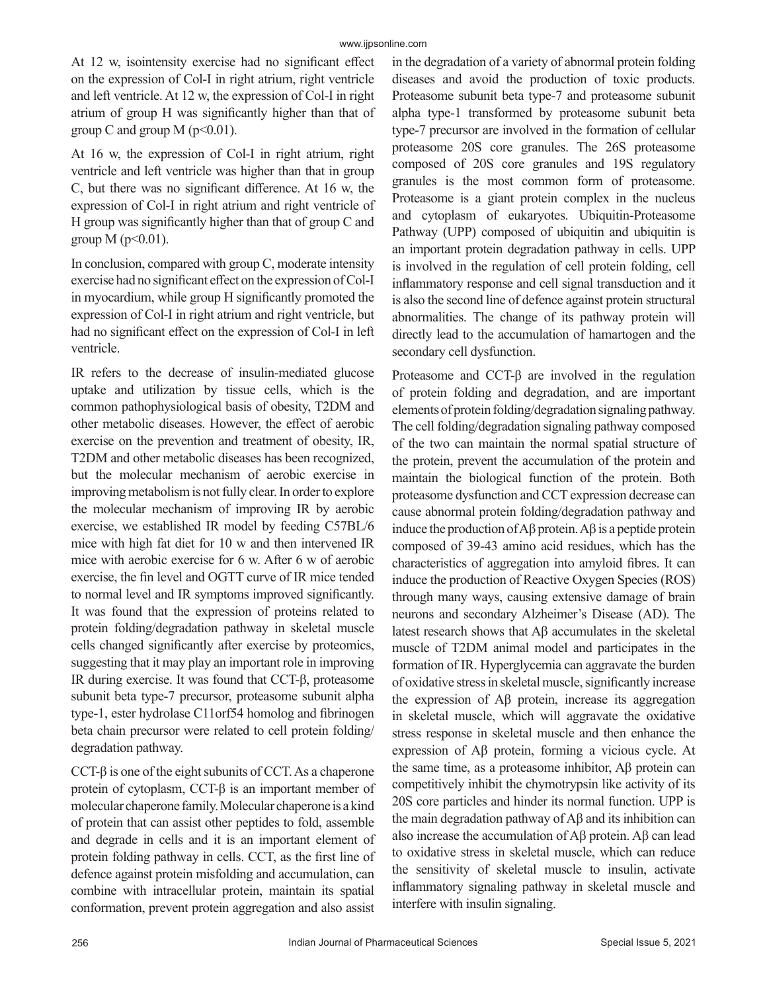At 12 w, isointensity exercise had no significant effect on the expression of Col-I in right atrium, right ventricle and left ventricle. At 12 w, the expression of Col-I in right atrium of group H was significantly higher than that of group C and group M ( $p<0.01$ ).

At 16 w, the expression of Col-I in right atrium, right ventricle and left ventricle was higher than that in group C, but there was no significant difference. At 16 w, the expression of Col-I in right atrium and right ventricle of H group was significantly higher than that of group C and group  $M$  ( $p<0.01$ ).

In conclusion, compared with group C, moderate intensity exercise had no significant effect on the expression of Col-I in myocardium, while group H significantly promoted the expression of Col-I in right atrium and right ventricle, but had no significant effect on the expression of Col-I in left ventricle.

IR refers to the decrease of insulin-mediated glucose uptake and utilization by tissue cells, which is the common pathophysiological basis of obesity, T2DM and other metabolic diseases. However, the effect of aerobic exercise on the prevention and treatment of obesity, IR, T2DM and other metabolic diseases has been recognized, but the molecular mechanism of aerobic exercise in improving metabolism is not fully clear. In order to explore the molecular mechanism of improving IR by aerobic exercise, we established IR model by feeding C57BL/6 mice with high fat diet for 10 w and then intervened IR mice with aerobic exercise for 6 w. After 6 w of aerobic exercise, the fin level and OGTT curve of IR mice tended to normal level and IR symptoms improved significantly. It was found that the expression of proteins related to protein folding/degradation pathway in skeletal muscle cells changed significantly after exercise by proteomics, suggesting that it may play an important role in improving IR during exercise. It was found that CCT-β, proteasome subunit beta type-7 precursor, proteasome subunit alpha type-1, ester hydrolase C11orf54 homolog and fibrinogen beta chain precursor were related to cell protein folding/ degradation pathway.

CCT- $\beta$  is one of the eight subunits of CCT. As a chaperone protein of cytoplasm, CCT-β is an important member of molecular chaperone family. Molecular chaperone is a kind of protein that can assist other peptides to fold, assemble and degrade in cells and it is an important element of protein folding pathway in cells. CCT, as the first line of defence against protein misfolding and accumulation, can combine with intracellular protein, maintain its spatial conformation, prevent protein aggregation and also assist in the degradation of a variety of abnormal protein folding diseases and avoid the production of toxic products. Proteasome subunit beta type-7 and proteasome subunit alpha type-1 transformed by proteasome subunit beta type-7 precursor are involved in the formation of cellular proteasome 20S core granules. The 26S proteasome composed of 20S core granules and 19S regulatory granules is the most common form of proteasome. Proteasome is a giant protein complex in the nucleus and cytoplasm of eukaryotes. Ubiquitin-Proteasome Pathway (UPP) composed of ubiquitin and ubiquitin is an important protein degradation pathway in cells. UPP is involved in the regulation of cell protein folding, cell inflammatory response and cell signal transduction and it is also the second line of defence against protein structural abnormalities. The change of its pathway protein will directly lead to the accumulation of hamartogen and the secondary cell dysfunction.

Proteasome and CCT-β are involved in the regulation of protein folding and degradation, and are important elements of protein folding/degradation signaling pathway. The cell folding/degradation signaling pathway composed of the two can maintain the normal spatial structure of the protein, prevent the accumulation of the protein and maintain the biological function of the protein. Both proteasome dysfunction and CCT expression decrease can cause abnormal protein folding/degradation pathway and induce the production of Aβ protein. Aβ is a peptide protein composed of 39-43 amino acid residues, which has the characteristics of aggregation into amyloid fibres. It can induce the production of Reactive Oxygen Species (ROS) through many ways, causing extensive damage of brain neurons and secondary Alzheimer's Disease (AD). The latest research shows that Aβ accumulates in the skeletal muscle of T2DM animal model and participates in the formation of IR. Hyperglycemia can aggravate the burden of oxidative stress in skeletal muscle, significantly increase the expression of Aβ protein, increase its aggregation in skeletal muscle, which will aggravate the oxidative stress response in skeletal muscle and then enhance the expression of Aβ protein, forming a vicious cycle. At the same time, as a proteasome inhibitor, Aβ protein can competitively inhibit the chymotrypsin like activity of its 20S core particles and hinder its normal function. UPP is the main degradation pathway of Aβ and its inhibition can also increase the accumulation of Aβ protein. Aβ can lead to oxidative stress in skeletal muscle, which can reduce the sensitivity of skeletal muscle to insulin, activate inflammatory signaling pathway in skeletal muscle and interfere with insulin signaling.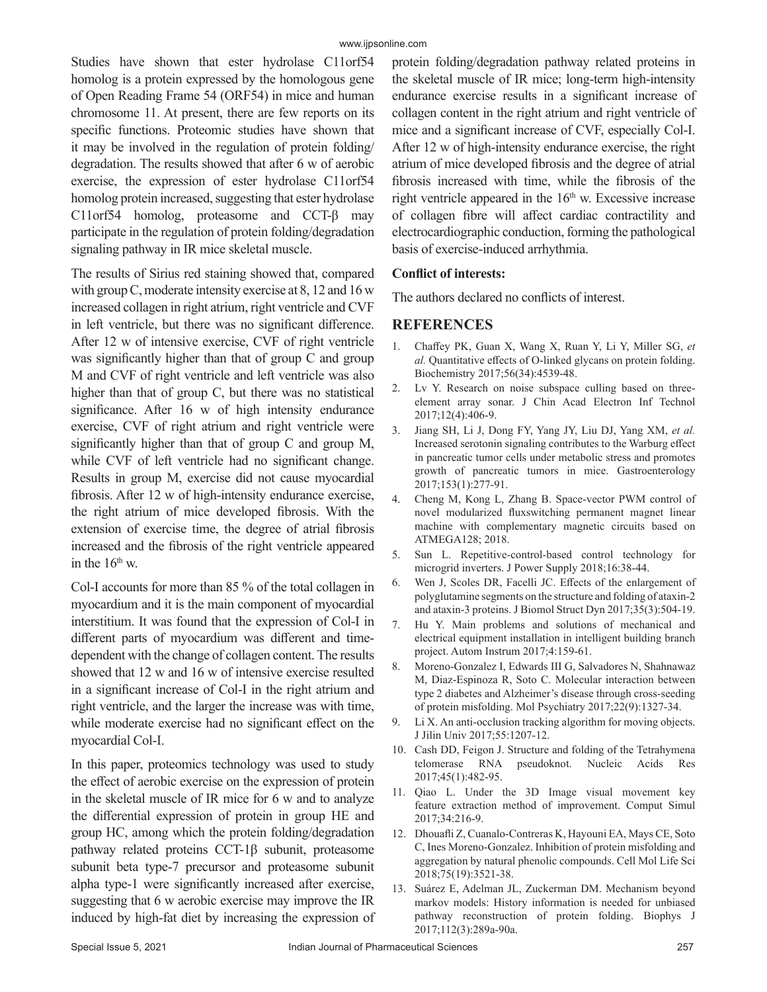Studies have shown that ester hydrolase C11orf54 homolog is a protein expressed by the homologous gene of Open Reading Frame 54 (ORF54) in mice and human chromosome 11. At present, there are few reports on its specific functions. Proteomic studies have shown that it may be involved in the regulation of protein folding/ degradation. The results showed that after 6 w of aerobic exercise, the expression of ester hydrolase C11orf54 homolog protein increased, suggesting that ester hydrolase C11orf54 homolog, proteasome and CCT-β may participate in the regulation of protein folding/degradation signaling pathway in IR mice skeletal muscle.

The results of Sirius red staining showed that, compared with group C, moderate intensity exercise at 8, 12 and 16 w increased collagen in right atrium, right ventricle and CVF in left ventricle, but there was no significant difference. After 12 w of intensive exercise, CVF of right ventricle was significantly higher than that of group C and group M and CVF of right ventricle and left ventricle was also higher than that of group C, but there was no statistical significance. After 16 w of high intensity endurance exercise, CVF of right atrium and right ventricle were significantly higher than that of group C and group M, while CVF of left ventricle had no significant change. Results in group M, exercise did not cause myocardial fibrosis. After 12 w of high-intensity endurance exercise, the right atrium of mice developed fibrosis. With the extension of exercise time, the degree of atrial fibrosis increased and the fibrosis of the right ventricle appeared in the  $16<sup>th</sup>$  w.

Col-I accounts for more than 85 % of the total collagen in myocardium and it is the main component of myocardial interstitium. It was found that the expression of Col-I in different parts of myocardium was different and timedependent with the change of collagen content. The results showed that 12 w and 16 w of intensive exercise resulted in a significant increase of Col-I in the right atrium and right ventricle, and the larger the increase was with time, while moderate exercise had no significant effect on the myocardial Col-I.

In this paper, proteomics technology was used to study the effect of aerobic exercise on the expression of protein in the skeletal muscle of IR mice for 6 w and to analyze the differential expression of protein in group HE and group HC, among which the protein folding/degradation pathway related proteins CCT-1β subunit, proteasome subunit beta type-7 precursor and proteasome subunit alpha type-1 were significantly increased after exercise, suggesting that 6 w aerobic exercise may improve the IR induced by high-fat diet by increasing the expression of protein folding/degradation pathway related proteins in the skeletal muscle of IR mice; long-term high-intensity endurance exercise results in a significant increase of collagen content in the right atrium and right ventricle of mice and a significant increase of CVF, especially Col-I. After 12 w of high-intensity endurance exercise, the right atrium of mice developed fibrosis and the degree of atrial fibrosis increased with time, while the fibrosis of the right ventricle appeared in the  $16<sup>th</sup>$  w. Excessive increase of collagen fibre will affect cardiac contractility and electrocardiographic conduction, forming the pathological basis of exercise-induced arrhythmia.

#### **Conflict of interests:**

The authors declared no conflicts of interest.

# **REFERENCES**

- 1. Chaffey PK, Guan X, Wang X, Ruan Y, Li Y, Miller SG, *et al.* Quantitative effects of O-linked glycans on protein folding. Biochemistry 2017;56(34):4539-48.
- 2. Lv Y. Research on noise subspace culling based on threeelement array sonar. J Chin Acad Electron Inf Technol 2017;12(4):406-9.
- 3. Jiang SH, Li J, Dong FY, Yang JY, Liu DJ, Yang XM, *et al.* Increased serotonin signaling contributes to the Warburg effect in pancreatic tumor cells under metabolic stress and promotes growth of pancreatic tumors in mice. Gastroenterology 2017;153(1):277-91.
- 4. Cheng M, Kong L, Zhang B. Space-vector PWM control of novel modularized fluxswitching permanent magnet linear machine with complementary magnetic circuits based on ATMEGA128; 2018.
- 5. Sun L. Repetitive-control-based control technology for microgrid inverters. J Power Supply 2018;16:38-44.
- 6. Wen J, Scoles DR, Facelli JC. Effects of the enlargement of polyglutamine segments on the structure and folding of ataxin-2 and ataxin-3 proteins. J Biomol Struct Dyn 2017;35(3):504-19.
- 7. Hu Y. Main problems and solutions of mechanical and electrical equipment installation in intelligent building branch project. Autom Instrum 2017;4:159-61.
- 8. Moreno-Gonzalez I, Edwards III G, Salvadores N, Shahnawaz M, Diaz-Espinoza R, Soto C. Molecular interaction between type 2 diabetes and Alzheimer's disease through cross-seeding of protein misfolding. Mol Psychiatry 2017;22(9):1327-34.
- 9. Li X. An anti-occlusion tracking algorithm for moving objects. J Jilin Univ 2017;55:1207-12.
- 10. Cash DD, Feigon J. Structure and folding of the Tetrahymena telomerase RNA pseudoknot. Nucleic Acids Res 2017;45(1):482-95.
- 11. Qiao L. Under the 3D Image visual movement key feature extraction method of improvement. Comput Simul 2017;34:216-9.
- 12. Dhouafli Z, Cuanalo-Contreras K, Hayouni EA, Mays CE, Soto C, Ines Moreno-Gonzalez. Inhibition of protein misfolding and aggregation by natural phenolic compounds. Cell Mol Life Sci 2018;75(19):3521-38.
- 13. Suárez E, Adelman JL, Zuckerman DM. Mechanism beyond markov models: History information is needed for unbiased pathway reconstruction of protein folding. Biophys J 2017;112(3):289a-90a.